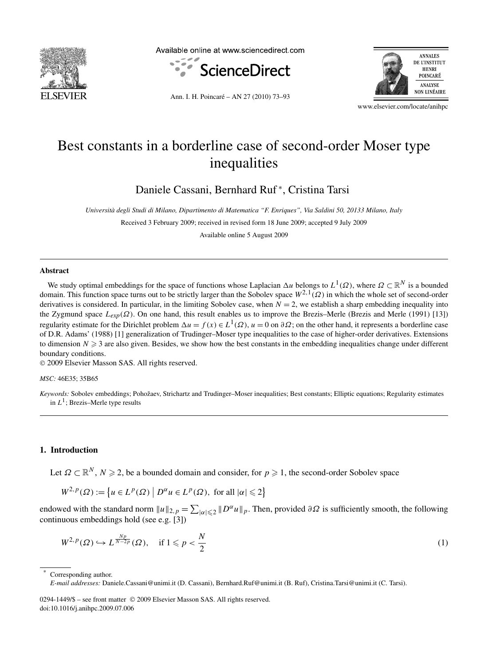

Available online at www.sciencedirect.com





Ann. I. H. Poincaré – AN 27 (2010) 73–93

www.elsevier.com/locate/anihpc

# Best constants in a borderline case of second-order Moser type inequalities

Daniele Cassani, Bernhard Ruf <sup>∗</sup> , Cristina Tarsi

*Università degli Studi di Milano, Dipartimento di Matematica "F. Enriques", Via Saldini 50, 20133 Milano, Italy*

Received 3 February 2009; received in revised form 18 June 2009; accepted 9 July 2009

Available online 5 August 2009

#### **Abstract**

We study optimal embeddings for the space of functions whose Laplacian  $\Delta u$  belongs to  $L^1(\Omega)$ , where  $\Omega \subset \mathbb{R}^N$  is a bounded domain. This function space turns out to be strictly larger than the Sobolev space  $W^{2,1}(\Omega)$  in which the whole set of second-order derivatives is considered. In particular, in the limiting Sobolev case, when  $N = 2$ , we establish a sharp embedding inequality into the Zygmund space *Lexp(Ω)*. On one hand, this result enables us to improve the Brezis–Merle (Brezis and Merle (1991) [13]) regularity estimate for the Dirichlet problem  $\Delta u = f(x) \in L^1(\Omega)$ ,  $u = 0$  on  $\partial \Omega$ ; on the other hand, it represents a borderline case of D.R. Adams' (1988) [1] generalization of Trudinger–Moser type inequalities to the case of higher-order derivatives. Extensions to dimension  $N \geq 3$  are also given. Besides, we show how the best constants in the embedding inequalities change under different boundary conditions.

© 2009 Elsevier Masson SAS. All rights reserved.

#### *MSC:* 46E35; 35B65

*Keywords:* Sobolev embeddings; Pohožaev, Strichartz and Trudinger–Moser inequalities; Best constants; Elliptic equations; Regularity estimates in *L*1; Brezis–Merle type results

# **1. Introduction**

Let  $\Omega \subset \mathbb{R}^N$ ,  $N \geq 2$ , be a bounded domain and consider, for  $p \geq 1$ , the second-order Sobolev space

$$
W^{2,p}(\Omega) := \left\{ u \in L^p(\Omega) \mid D^{\alpha} u \in L^p(\Omega), \text{ for all } |\alpha| \leq 2 \right\}
$$

endowed with the standard norm  $||u||_{2,p} = \sum_{|\alpha| \leq 2} ||D^{\alpha}u||_p$ . Then, provided  $\partial \Omega$  is sufficiently smooth, the following continuous embeddings hold (see e.g. [3])

$$
W^{2,p}(\Omega) \hookrightarrow L^{\frac{Np}{N-2p}}(\Omega), \quad \text{if } 1 \leq p < \frac{N}{2} \tag{1}
$$

Corresponding author.

*E-mail addresses:* Daniele.Cassani@unimi.it (D. Cassani), Bernhard.Ruf@unimi.it (B. Ruf), Cristina.Tarsi@unimi.it (C. Tarsi).

<sup>0294-1449/\$ –</sup> see front matter © 2009 Elsevier Masson SAS. All rights reserved. doi:10.1016/j.anihpc.2009.07.006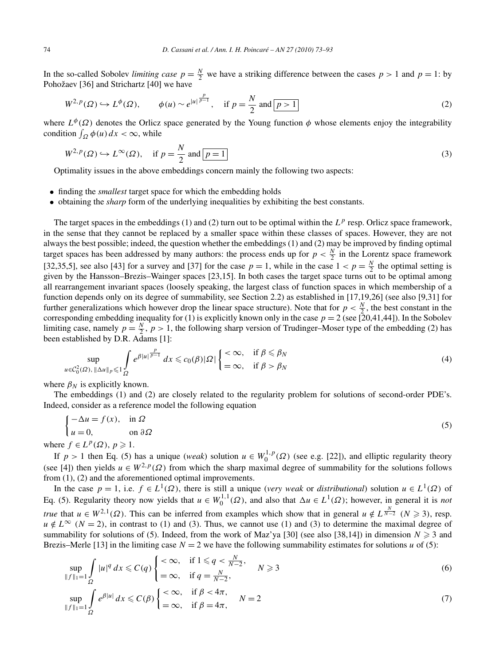In the so-called Sobolev *limiting case*  $p = \frac{N}{2}$  we have a striking difference between the cases  $p > 1$  and  $p = 1$ : by Pohožaev [36] and Strichartz [40] we have

$$
W^{2,p}(\Omega) \hookrightarrow L^{\phi}(\Omega), \qquad \phi(u) \sim e^{|u|^{\frac{p}{p-1}}}, \quad \text{if } p = \frac{N}{2} \text{ and } \boxed{p > 1} \tag{2}
$$

where  $L^{\phi}(\Omega)$  denotes the Orlicz space generated by the Young function  $\phi$  whose elements enjoy the integrability condition  $\int_{\Omega} \phi(u) dx < \infty$ , while

$$
W^{2,p}(\Omega) \hookrightarrow L^{\infty}(\Omega), \quad \text{if } p = \frac{N}{2} \text{ and } \boxed{p=1}
$$
 (3)

Optimality issues in the above embeddings concern mainly the following two aspects:

- finding the *smallest* target space for which the embedding holds
- obtaining the *sharp* form of the underlying inequalities by exhibiting the best constants.

The target spaces in the embeddings (1) and (2) turn out to be optimal within the  $L^p$  resp. Orlicz space framework, in the sense that they cannot be replaced by a smaller space within these classes of spaces. However, they are not always the best possible; indeed, the question whether the embeddings (1) and (2) may be improved by finding optimal target spaces has been addressed by many authors: the process ends up for  $p < \frac{N}{2}$  in the Lorentz space framework [32,35,5], see also [43] for a survey and [37] for the case  $p = 1$ , while in the case  $1 < p = \frac{N}{2}$  the optimal setting is given by the Hansson–Brezis–Wainger spaces [23,15]. In both cases the target space turns out to be optimal among all rearrangement invariant spaces (loosely speaking, the largest class of function spaces in which membership of a function depends only on its degree of summability, see Section 2.2) as established in [17,19,26] (see also [9,31] for further generalizations which however drop the linear space structure). Note that for  $p < \frac{N}{2}$ , the best constant in the corresponding embedding inequality for (1) is explicitly known only in the case  $p = 2$  (see [20,41,44]). In the Sobolev limiting case, namely  $p = \frac{N}{2}$ ,  $p > 1$ , the following sharp version of Trudinger–Moser type of the embedding (2) has been established by D.R. Adams [1]:

$$
\sup_{u \in C_0^2(\Omega), \|\Delta u\|_p \leq 1} \int_{\Omega} e^{\beta |u|^{\frac{p}{p-1}}} dx \leqslant c_0(\beta) |\Omega| \begin{cases} < \infty, & \text{if } \beta \leqslant \beta_N \\ = \infty, & \text{if } \beta > \beta_N \end{cases}
$$
\n
$$
(4)
$$

where  $\beta_N$  is explicitly known.

The embeddings (1) and (2) are closely related to the regularity problem for solutions of second-order PDE's. Indeed, consider as a reference model the following equation

$$
\begin{cases}\n-\Delta u = f(x), & \text{in } \Omega \\
u = 0, & \text{on } \partial\Omega\n\end{cases}
$$
\n(5)

where  $f \in L^p(\Omega)$ ,  $p \ge 1$ .

If  $p > 1$  then Eq. (5) has a unique (*weak*) solution  $u \in W_0^{1,p}(\Omega)$  (see e.g. [22]), and elliptic regularity theory (see [4]) then yields  $u \in W^{2,p}(\Omega)$  from which the sharp maximal degree of summability for the solutions follows from (1), (2) and the aforementioned optimal improvements.

In the case  $p = 1$ , i.e.  $f \in L^1(\Omega)$ , there is still a unique (*very weak* or *distributional*) solution  $u \in L^1(\Omega)$  of Eq. (5). Regularity theory now yields that  $u \in W_0^{1,1}(\Omega)$ , and also that  $\Delta u \in L^1(\Omega)$ ; however, in general it is *not true* that  $u \in W^{2,1}(\Omega)$ . This can be inferred from examples which show that in general  $u \notin L^{\frac{N}{N-2}}$   $(N \geq 3)$ , resp.  $u \notin L^{\infty}$  ( $N = 2$ ), in contrast to (1) and (3). Thus, we cannot use (1) and (3) to determine the maximal degree of summability for solutions of (5). Indeed, from the work of Maz'ya [30] (see also [38,14]) in dimension  $N \geq 3$  and Brezis–Merle [13] in the limiting case  $N = 2$  we have the following summability estimates for solutions *u* of (5):

$$
\sup_{\|f\|_{1}=1} \int_{\Omega} |u|^{q} dx \leq C(q) \begin{cases} < \infty, & \text{if } 1 \leq q < \frac{N}{N-2}, \\ = \infty, & \text{if } q = \frac{N}{N-2}, \end{cases} \qquad N \geq 3
$$
 (6)

$$
\sup_{\|f\|_1=1} \int_{\Omega} e^{\beta |u|} dx \leqslant C(\beta) \begin{cases} <\infty, & \text{if } \beta < 4\pi, \\ =\infty, & \text{if } \beta = 4\pi, \end{cases} \qquad N=2 \tag{7}
$$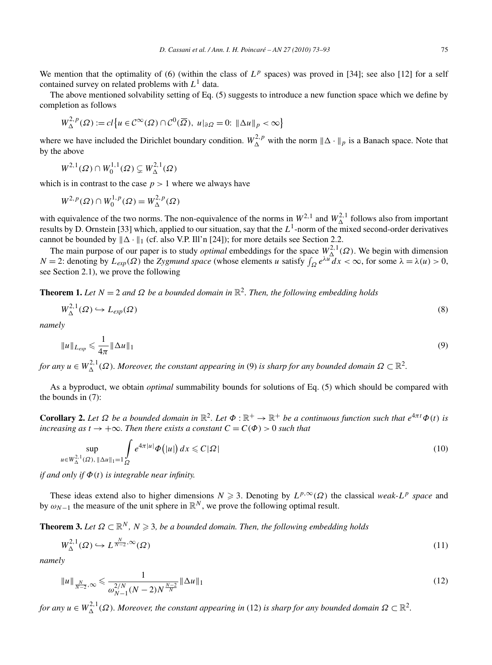We mention that the optimality of (6) (within the class of  $L^p$  spaces) was proved in [34]; see also [12] for a self contained survey on related problems with *L*<sup>1</sup> data.

The above mentioned solvability setting of Eq. (5) suggests to introduce a new function space which we define by completion as follows

$$
W^{2,p}_{\Delta}(\Omega) := cl \left\{ u \in C^{\infty}(\Omega) \cap C^0(\overline{\Omega}), \ u|_{\partial \Omega} = 0 : \|\Delta u\|_p < \infty \right\}
$$

where we have included the Dirichlet boundary condition.  $W_{\Delta}^{2,p}$  with the norm  $\|\Delta \cdot \|_p$  is a Banach space. Note that by the above

$$
W^{2,1}(\Omega) \cap W_0^{1,1}(\Omega) \subsetneq W^{2,1}_{\Delta}(\Omega)
$$

which is in contrast to the case  $p > 1$  where we always have

$$
W^{2,p}(\Omega) \cap W_0^{1,p}(\Omega) = W^{2,p}_{\Delta}(\Omega)
$$

with equivalence of the two norms. The non-equivalence of the norms in  $W^{2,1}$  and  $W^{2,1}_\Delta$  follows also from important results by D. Ornstein [33] which, applied to our situation, say that the  $L^1$ -norm of the mixed second-order derivatives cannot be bounded by  $\|\Delta \cdot \|_1$  (cf. also V.P. Ill'n [24]); for more details see Section 2.2.

The main purpose of our paper is to study *optimal* embeddings for the space  $W^{2,1}_\Delta(\Omega)$ . We begin with dimension  $N = 2$ : denoting by  $L_{exp}(\Omega)$  the *Zygmund space* (whose elements *u* satisfy  $\int_{\Omega} e^{\lambda u} dx < \infty$ , for some  $\lambda = \lambda(u) > 0$ , see Section 2.1), we prove the following

**Theorem 1.** *Let*  $N = 2$  *and*  $\Omega$  *be a bounded domain in*  $\mathbb{R}^2$ *. Then, the following embedding holds* 

$$
W^{2,1}_{\Delta}(\Omega) \hookrightarrow L_{exp}(\Omega) \tag{8}
$$

*namely*

$$
||u||_{L_{exp}} \leq \frac{1}{4\pi} ||\Delta u||_1
$$
\n(9)

*for any*  $u \in W_\Delta^{2,1}(\Omega)$ . Moreover, the constant appearing in (9) is sharp for any bounded domain  $\Omega \subset \mathbb{R}^2$ .

As a byproduct, we obtain *optimal* summability bounds for solutions of Eq. (5) which should be compared with the bounds in (7):

**Corollary 2.** Let  $\Omega$  be a bounded domain in  $\mathbb{R}^2$ . Let  $\Phi : \mathbb{R}^+ \to \mathbb{R}^+$  be a continuous function such that  $e^{4\pi t}\Phi(t)$  is *increasing as*  $t \to +\infty$ *. Then there exists a constant*  $C = C(\Phi) > 0$  *such that* 

$$
\sup_{u \in W_{\Delta}^{2,1}(\Omega), \, \|\Delta u\|_{1} = 1} \int_{\Omega} e^{4\pi |u|} \Phi\big(|u|\big) dx \leqslant C|\Omega|
$$
\n(10)

*if and only if Φ(t) is integrable near infinity.*

These ideas extend also to higher dimensions  $N \ge 3$ . Denoting by  $L^{p,\infty}(\Omega)$  the classical *weak-LP space* and by  $\omega_{N-1}$  the measure of the unit sphere in  $\mathbb{R}^N$ , we prove the following optimal result.

**Theorem 3.** Let  $\Omega \subset \mathbb{R}^N$ ,  $N \geqslant 3$ , be a bounded domain. Then, the following embedding holds

$$
W^{2,1}_{\Delta}(\Omega) \hookrightarrow L^{\frac{N}{N-2},\infty}(\Omega)
$$
\n<sup>(11)</sup>

*namely*

$$
||u||_{\frac{N}{N-2},\infty} \leq \frac{1}{\omega_{N-1}^{2/N}(N-2)N^{\frac{N-2}{N}}} ||\Delta u||_1
$$
\n(12)

*for any*  $u \in W^{2,1}_\Delta(\Omega)$ . Moreover, the constant appearing in (12) is sharp for any bounded domain  $\Omega \subset \mathbb{R}^2$ .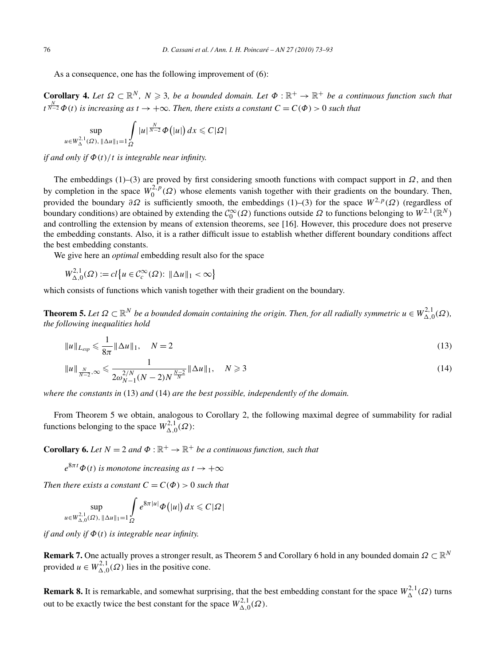As a consequence, one has the following improvement of (6):

**Corollary 4.** Let  $\Omega \subset \mathbb{R}^N$ ,  $N \geq 3$ , be a bounded domain. Let  $\Phi : \mathbb{R}^+ \to \mathbb{R}^+$  be a continuous function such that  $t^{\frac{N}{N-2}}\Phi(t)$  is increasing as  $t \to +\infty$ . Then, there exists a constant  $C = C(\Phi) > 0$  such that

$$
\sup_{u \in W^{2,1}_{\Delta}(\Omega), \, \|\Delta u\|_{1}=1} \int\limits_{\Omega} |u|^{\frac{N}{N-2}} \Phi\big(|u|\big) dx \leqslant C|\Omega|
$$

*if and only if Φ(t)/t is integrable near infinity.*

The embeddings (1)–(3) are proved by first considering smooth functions with compact support in  $\Omega$ , and then by completion in the space  $W_0^{2,p}(\Omega)$  whose elements vanish together with their gradients on the boundary. Then, provided the boundary  $\partial \Omega$  is sufficiently smooth, the embeddings (1)–(3) for the space  $W^{2,p}(\Omega)$  (regardless of boundary conditions) are obtained by extending the  $C_0^{\infty}(\Omega)$  functions outside  $\Omega$  to functions belonging to  $W^{2,1}(\mathbb{R}^N)$ and controlling the extension by means of extension theorems, see [16]. However, this procedure does not preserve the embedding constants. Also, it is a rather difficult issue to establish whether different boundary conditions affect the best embedding constants.

We give here an *optimal* embedding result also for the space

$$
W^{2,1}_{\Delta,0}(\Omega) := cl \left\{ u \in \mathcal{C}_c^{\infty}(\Omega) : \|\Delta u\|_1 < \infty \right\}
$$

which consists of functions which vanish together with their gradient on the boundary.

**Theorem 5.** Let  $\Omega \subset \mathbb{R}^N$  be a bounded domain containing the origin. Then, for all radially symmetric  $u \in W_{\Delta,0}^{2,1}(\Omega)$ , *the following inequalities hold*

$$
\|u\|_{L_{exp}} \leq \frac{1}{8\pi} \|\Delta u\|_1, \quad N = 2
$$
\n(13)

$$
||u||_{\frac{N}{N-2},\infty} \leq \frac{1}{2\omega_{N-1}^{2/N}(N-2)N^{\frac{N-2}{N}}} ||\Delta u||_1, \quad N \geq 3
$$
\n(14)

*where the constants in* (13) *and* (14) *are the best possible, independently of the domain.*

From Theorem 5 we obtain, analogous to Corollary 2, the following maximal degree of summability for radial functions belonging to the space  $W_{\Delta,0}^{2,1}(\Omega)$ :

**Corollary 6.** Let  $N = 2$  and  $\Phi : \mathbb{R}^+ \to \mathbb{R}^+$  be a continuous function, such that

 $e^{8\pi t}\Phi(t)$  *is monotone increasing as*  $t \to +\infty$ 

*Then there exists a constant*  $C = C(\Phi) > 0$  *such that* 

$$
\sup_{u \in W_{\Delta,0}^{2,1}(\Omega), \, \|\Delta u\|_1=1} \int_{\Omega} e^{8\pi |u|} \Phi\big(|u|\big) dx \leqslant C|\Omega|
$$

*if and only if Φ(t) is integrable near infinity.*

**Remark 7.** One actually proves a stronger result, as Theorem 5 and Corollary 6 hold in any bounded domain *Ω* ⊂ R*<sup>N</sup>* provided  $u \in W^{2,1}_{\Delta,0}(\Omega)$  lies in the positive cone.

**Remark 8.** It is remarkable, and somewhat surprising, that the best embedding constant for the space  $W_{\Delta}^{2,1}(\Omega)$  turns out to be exactly twice the best constant for the space  $W_{\Delta,0}^{2,1}(\Omega)$ .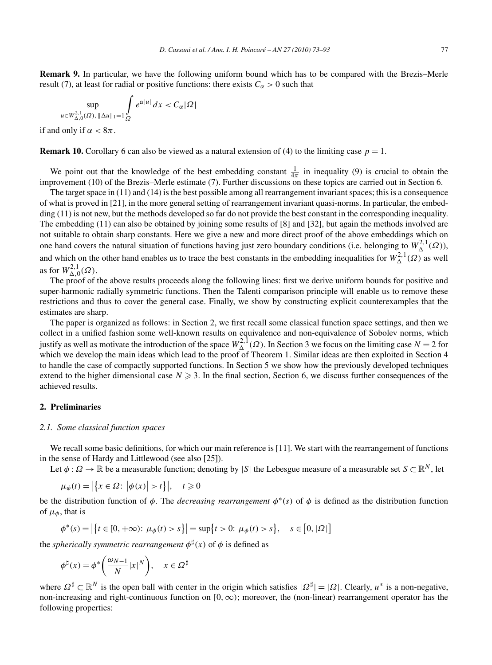**Remark 9.** In particular, we have the following uniform bound which has to be compared with the Brezis–Merle result (7), at least for radial or positive functions: there exists  $C_{\alpha} > 0$  such that

$$
\sup_{\in W_{\Delta,0}^{2,1}(\Omega), \|\Delta u\|_1=1} \int\limits_{\Omega} e^{\alpha|u|} dx < C_{\alpha} |\Omega|
$$

if and only if  $\alpha < 8\pi$ .

*u*∈*W*2*,*<sup>1</sup>

**Remark 10.** Corollary 6 can also be viewed as a natural extension of (4) to the limiting case  $p = 1$ .

We point out that the knowledge of the best embedding constant  $\frac{1}{4\pi}$  in inequality (9) is crucial to obtain the improvement (10) of the Brezis–Merle estimate (7). Further discussions on these topics are carried out in Section 6.

The target space in (11) and (14) is the best possible among all rearrangement invariant spaces; this is a consequence of what is proved in [21], in the more general setting of rearrangement invariant quasi-norms. In particular, the embedding (11) is not new, but the methods developed so far do not provide the best constant in the corresponding inequality. The embedding (11) can also be obtained by joining some results of [8] and [32], but again the methods involved are not suitable to obtain sharp constants. Here we give a new and more direct proof of the above embeddings which on one hand covers the natural situation of functions having just zero boundary conditions (i.e. belonging to  $W^{2,1}_\Delta(\Omega)$ ), and which on the other hand enables us to trace the best constants in the embedding inequalities for  $W^{2,1}_\Delta(\Omega)$  as well as for  $W^{2,1}_{\Delta,0}(\Omega)$ .

The proof of the above results proceeds along the following lines: first we derive uniform bounds for positive and super-harmonic radially symmetric functions. Then the Talenti comparison principle will enable us to remove these restrictions and thus to cover the general case. Finally, we show by constructing explicit counterexamples that the estimates are sharp.

The paper is organized as follows: in Section 2, we first recall some classical function space settings, and then we collect in a unified fashion some well-known results on equivalence and non-equivalence of Sobolev norms, which justify as well as motivate the introduction of the space  $W_{\Delta}^{2,1}(\Omega)$ . In Section 3 we focus on the limiting case  $N = 2$  for which we develop the main ideas which lead to the proof of Theorem 1. Similar ideas are then exploited in Section 4 to handle the case of compactly supported functions. In Section 5 we show how the previously developed techniques extend to the higher dimensional case  $N \geq 3$ . In the final section, Section 6, we discuss further consequences of the achieved results.

## **2. Preliminaries**

#### *2.1. Some classical function spaces*

We recall some basic definitions, for which our main reference is [11]. We start with the rearrangement of functions in the sense of Hardy and Littlewood (see also [25]).

Let  $\phi: \Omega \to \mathbb{R}$  be a measurable function; denoting by |*S*| the Lebesgue measure of a measurable set  $S \subset \mathbb{R}^N$ , let

$$
\mu_{\phi}(t) = \left| \left\{ x \in \Omega \colon \left| \phi(x) \right| > t \right\} \right|, \quad t \geq 0
$$

be the distribution function of  $\phi$ . The *decreasing rearrangement*  $\phi^*(s)$  of  $\phi$  is defined as the distribution function of  $\mu_{\phi}$ , that is

 $\phi^*(s) = |\{t \in [0, +\infty): \mu_\phi(t) > s\}| = \sup\{t > 0: \mu_\phi(t) > s\}, \quad s \in [0, |\Omega|]$ 

the *spherically symmetric rearrangement*  $\phi^{\sharp}(x)$  of  $\phi$  is defined as

$$
\phi^{\sharp}(x) = \phi^* \left( \frac{\omega_{N-1}}{N} |x|^N \right), \quad x \in \Omega^{\sharp}
$$

where  $\Omega^{\sharp} \subset \mathbb{R}^{N}$  is the open ball with center in the origin which satisfies  $|\Omega^{\sharp}| = |\Omega|$ . Clearly,  $u^*$  is a non-negative, non-increasing and right-continuous function on [0*,*∞*)*; moreover, the (non-linear) rearrangement operator has the following properties: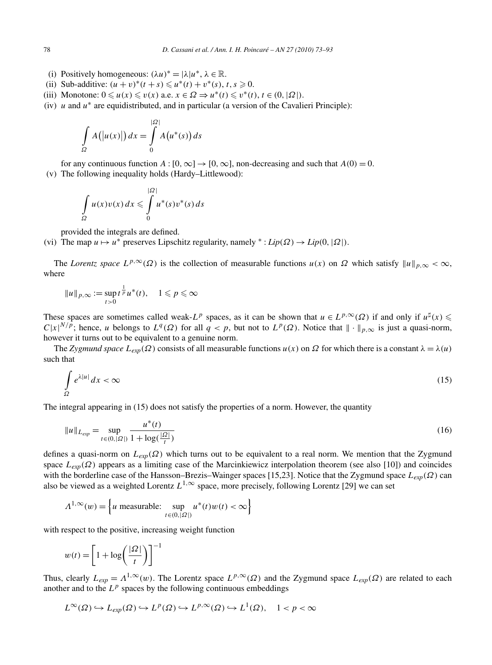- (i) Positively homogeneous:  $(\lambda u)^* = |\lambda| u^*, \lambda \in \mathbb{R}$ .
- (ii) Sub-additive:  $(u + v)^*(t + s) \le u^*(t) + v^*(s), t, s \ge 0.$
- (iii) Monotone:  $0 \le u(x) \le v(x)$  a.e.  $x \in \Omega \Rightarrow u^*(t) \le v^*(t), t \in (0, |\Omega|)$ .
- (iv) *u* and *u*<sup>∗</sup> are equidistributed, and in particular (a version of the Cavalieri Principle):

$$
\int_{\Omega} A(|u(x)|) dx = \int_{0}^{|\Omega|} A(u^*(s)) ds
$$

for any continuous function  $A : [0, \infty] \to [0, \infty]$ , non-decreasing and such that  $A(0) = 0$ .

(v) The following inequality holds (Hardy–Littlewood):

$$
\int_{\Omega} u(x)v(x) dx \leqslant \int_{0}^{|\Omega|} u^*(s)v^*(s) ds
$$

provided the integrals are defined.

(vi) The map  $u \mapsto u^*$  preserves Lipschitz regularity, namely  $* : Lip(\Omega) \to Lip(0, |\Omega|)$ .

The *Lorentz space*  $L^{p,\infty}(\Omega)$  is the collection of measurable functions  $u(x)$  on  $\Omega$  which satisfy  $||u||_{p,\infty} < \infty$ , where

$$
||u||_{p,\infty} := \sup_{t>0} t^{\frac{1}{p}} u^*(t), \quad 1 \leq p \leq \infty
$$

These spaces are sometimes called weak-*L<sup>p</sup>* spaces, as it can be shown that  $u \in L^{p,\infty}(\Omega)$  if and only if  $u^{\sharp}(x) \leq$  $C|x|^{N/p}$ ; hence, *u* belongs to  $L^q(\Omega)$  for all  $q < p$ , but not to  $L^p(\Omega)$ . Notice that  $\|\cdot\|_{p,\infty}$  is just a quasi-norm, however it turns out to be equivalent to a genuine norm.

The *Zygmund space*  $L_{exp}(\Omega)$  consists of all measurable functions  $u(x)$  on  $\Omega$  for which there is a constant  $\lambda = \lambda(u)$ such that

$$
\int_{\Omega} e^{\lambda|u|} dx < \infty \tag{15}
$$

The integral appearing in (15) does not satisfy the properties of a norm. However, the quantity

$$
||u||_{L_{exp}} = \sup_{t \in (0, |\Omega|)} \frac{u^*(t)}{1 + \log(\frac{|\Omega|}{t})}
$$
(16)

defines a quasi-norm on *Lexp(Ω)* which turns out to be equivalent to a real norm. We mention that the Zygmund space *Lexp(Ω)* appears as a limiting case of the Marcinkiewicz interpolation theorem (see also [10]) and coincides with the borderline case of the Hansson–Brezis–Wainger spaces [15,23]. Notice that the Zygmund space *Lexp(Ω)* can also be viewed as a weighted Lorentz  $L^{1,\infty}$  space, more precisely, following Lorentz [29] we can set

$$
\Lambda^{1,\infty}(w) = \left\{ u \text{ measurable: } \sup_{t \in (0,|\Omega|)} u^*(t)w(t) < \infty \right\}
$$

with respect to the positive, increasing weight function

$$
w(t) = \left[1 + \log\left(\frac{|\mathcal{Q}|}{t}\right)\right]^{-1}
$$

Thus, clearly  $L_{exp} = \Lambda^{1,\infty}(w)$ . The Lorentz space  $L^{p,\infty}(\Omega)$  and the Zygmund space  $L_{exp}(\Omega)$  are related to each another and to the  $L^p$  spaces by the following continuous embeddings

$$
L^{\infty}(\Omega) \hookrightarrow L_{exp}(\Omega) \hookrightarrow L^{p}(\Omega) \hookrightarrow L^{p,\infty}(\Omega) \hookrightarrow L^{1}(\Omega), \quad 1 < p < \infty
$$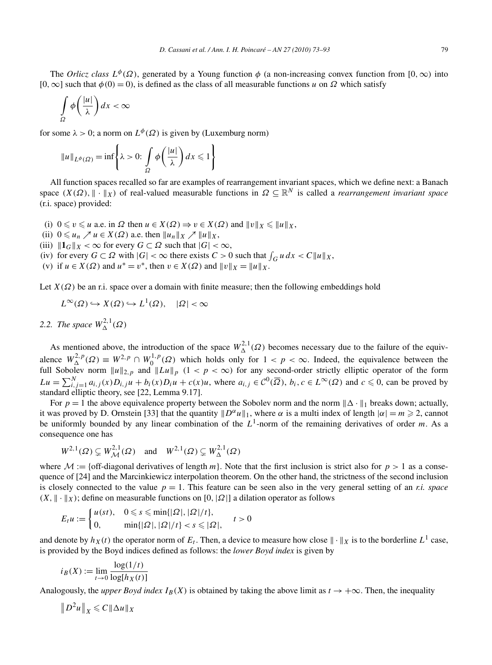The *Orlicz class*  $L^{\phi}(\Omega)$ , generated by a Young function  $\phi$  (a non-increasing convex function from [0, ∞*)* into  $[0, \infty]$  such that  $\phi(0) = 0$ , is defined as the class of all measurable functions *u* on  $\Omega$  which satisfy

$$
\int\limits_{\Omega}\phi\bigg(\frac{|u|}{\lambda}\bigg)\,dx < \infty
$$

for some  $\lambda > 0$ ; a norm on  $L^{\phi}(\Omega)$  is given by (Luxemburg norm)

$$
||u||_{L^{\phi}(\Omega)} = \inf \left\{ \lambda > 0 : \int_{\Omega} \phi\left(\frac{|u|}{\lambda}\right) dx \leq 1 \right\}
$$

All function spaces recalled so far are examples of rearrangement invariant spaces, which we define next: a Banach space  $(X(\Omega), \| \cdot \|_X)$  of real-valued measurable functions in  $\Omega \subseteq \mathbb{R}^N$  is called a *rearrangement invariant space* (r.i. space) provided:

(i)  $0 \le v \le u$  a.e. in  $\Omega$  then  $u \in X(\Omega) \Rightarrow v \in X(\Omega)$  and  $||v||_X \le ||u||_X$ ,

(ii)  $0 \leq u_n \nearrow u \in X(\Omega)$  a.e. then  $||u_n||_X \nearrow ||u||_X$ , (iii)  $\|\mathbf{1}_G\|_X < \infty$  for every  $G \subset \Omega$  such that  $|G| < \infty$ ,

(iv) for every  $G \subset \Omega$  with  $|G| < \infty$  there exists  $C > 0$  such that  $\int_G u \, dx < C ||u||_X$ ,

(v) if  $u \in X(\Omega)$  and  $u^* = v^*$ , then  $v \in X(\Omega)$  and  $\|v\|_X = \|u\|_X$ .

Let  $X(\Omega)$  be an r.i. space over a domain with finite measure; then the following embeddings hold

$$
L^{\infty}(\Omega) \hookrightarrow X(\Omega) \hookrightarrow L^{1}(\Omega), \quad |\Omega| < \infty
$$

2.2. The space 
$$
W^{2,1}_{\Delta}(\Omega)
$$

As mentioned above, the introduction of the space  $W_{\Delta}^{2,1}(\Omega)$  becomes necessary due to the failure of the equivalence  $W_{\Delta}^{2,p}(\Omega) \equiv W^{2,p} \cap W_0^{1,p}(\Omega)$  which holds only for  $1 < p < \infty$ . Indeed, the equivalence between the full Sobolev norm  $||u||_{2,p}$  and  $||Lu||_p$   $(1 < p < \infty)$  for any second-order strictly elliptic operator of the form  $Lu = \sum_{i,j=1}^{N} a_{i,j}(x)D_{i,j}u + b_i(x)D_iu + c(x)u$ , where  $a_{i,j} \in C^0(\overline{\Omega})$ ,  $b_i, c \in L^{\infty}(\Omega)$  and  $c \le 0$ , can be proved by standard elliptic theory, see [22, Lemma 9.17].

For  $p = 1$  the above equivalence property between the Sobolev norm and the norm  $\|\Delta \cdot \|_1$  breaks down; actually, it was proved by D. Ornstein [33] that the quantity  $||D^{\alpha}u||_1$ , where  $\alpha$  is a multi index of length  $|\alpha| = m \ge 2$ , cannot be uniformly bounded by any linear combination of the *L*1-norm of the remaining derivatives of order *m*. As a consequence one has

$$
W^{2,1}(\Omega) \subsetneq W^{2,1}(\Omega)
$$
 and  $W^{2,1}(\Omega) \subsetneq W^{2,1}(\Omega)$ 

where  $M := \{ \text{off-diagonal derivatives of length } m \}$ . Note that the first inclusion is strict also for  $p > 1$  as a consequence of [24] and the Marcinkiewicz interpolation theorem. On the other hand, the strictness of the second inclusion is closely connected to the value  $p = 1$ . This feature can be seen also in the very general setting of an *r.i. space*  $(X, \|\cdot\|_X)$ ; define on measurable functions on  $[0, |\Omega|]$  a dilation operator as follows

$$
E_t u := \begin{cases} u(st), & 0 \leq s \leq \min\{|\Omega|, |\Omega|/t\}, \\ 0, & \min\{|\Omega|, |\Omega|/t\} < s \leq |\Omega|, \end{cases} \quad t > 0
$$

and denote by  $h_X(t)$  the operator norm of  $E_t$ . Then, a device to measure how close  $\|\cdot\|_X$  is to the borderline  $L^1$  case, is provided by the Boyd indices defined as follows: the *lower Boyd index* is given by

$$
i_B(X) := \lim_{t \to 0} \frac{\log(1/t)}{\log[h_X(t)]}
$$

Analogously, the *upper Boyd index*  $I_B(X)$  is obtained by taking the above limit as  $t \to +\infty$ . Then, the inequality

$$
\left\|D^2u\right\|_X\leqslant C\|\Delta u\|_X
$$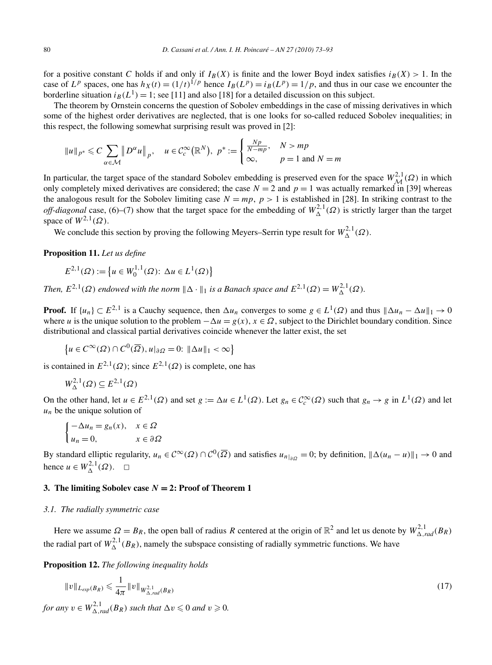for a positive constant *C* holds if and only if  $I_B(X)$  is finite and the lower Boyd index satisfies  $i_B(X) > 1$ . In the case of  $L^p$  spaces, one has  $h_X(t) = (1/t)^{1/p}$  hence  $I_B(L^p) = i_B(L^p) = 1/p$ , and thus in our case we encounter the borderline situation  $i_B(L^1) = 1$ ; see [11] and also [18] for a detailed discussion on this subject.

The theorem by Ornstein concerns the question of Sobolev embeddings in the case of missing derivatives in which some of the highest order derivatives are neglected, that is one looks for so-called reduced Sobolev inequalities; in this respect, the following somewhat surprising result was proved in [2]:

$$
||u||_{p^*} \leq C \sum_{\alpha \in \mathcal{M}} ||D^{\alpha}u||_p, \quad u \in C_c^{\infty}(\mathbb{R}^N), \quad p^* := \begin{cases} \frac{Np}{N - mp}, & N > mp \\ \infty, & p = 1 \text{ and } N = m \end{cases}
$$

In particular, the target space of the standard Sobolev embedding is preserved even for the space  $W_{\mathcal{M}}^{2,1}(\Omega)$  in which only completely mixed derivatives are considered; the case  $N = 2$  and  $p = 1$  was actually remarked in [39] whereas the analogous result for the Sobolev limiting case  $N = mp$ ,  $p > 1$  is established in [28]. In striking contrast to the *off-diagonal* case, (6)–(7) show that the target space for the embedding of  $W_\Delta^{2,1}(\Omega)$  is strictly larger than the target space of  $W^{2,1}(\Omega)$ .

We conclude this section by proving the following Meyers–Serrin type result for  $W^{2,1}_{\Delta}(\Omega)$ .

## **Proposition 11.** *Let us define*

$$
E^{2,1}(\Omega) := \left\{ u \in W_0^{1,1}(\Omega) : \, \Delta u \in L^1(\Omega) \right\}
$$

*Then,*  $E^{2,1}(\Omega)$  *endowed with the norm*  $\|\Delta \cdot \|_1$  *is a Banach space and*  $E^{2,1}(\Omega) = W^{2,1}_\Delta(\Omega)$ *.* 

**Proof.** If  $\{u_n\} \subset E^{2,1}$  is a Cauchy sequence, then  $\Delta u_n$  converges to some  $g \in L^1(\Omega)$  and thus  $\|\Delta u_n - \Delta u\|_1 \to 0$ where *u* is the unique solution to the problem  $-\Delta u = g(x)$ ,  $x \in \Omega$ , subject to the Dirichlet boundary condition. Since distributional and classical partial derivatives coincide whenever the latter exist, the set

$$
\left\{u \in C^{\infty}(\Omega) \cap C^{0}(\overline{\Omega}), u|_{\partial \Omega} = 0: ||\Delta u||_{1} < \infty\right\}
$$

is contained in  $E^{2,1}(\Omega)$ ; since  $E^{2,1}(\Omega)$  is complete, one has

$$
W^{2,1}_{\Delta}(\Omega) \subseteq E^{2,1}(\Omega)
$$

On the other hand, let  $u \in E^{2,1}(\Omega)$  and set  $g := \Delta u \in L^1(\Omega)$ . Let  $g_n \in C_c^{\infty}(\Omega)$  such that  $g_n \to g$  in  $L^1(\Omega)$  and let  $u_n$  be the unique solution of

$$
\begin{cases}\n-\Delta u_n = g_n(x), & x \in \Omega \\
u_n = 0, & x \in \partial\Omega\n\end{cases}
$$

By standard elliptic regularity,  $u_n \in C^{\infty}(\Omega) \cap C^0(\overline{\Omega})$  and satisfies  $u_{n|_{\partial\Omega}} = 0$ ; by definition,  $\|\Delta(u_n - u)\|_1 \to 0$  and hence  $u \in W_{\Delta}^{2,1}(\Omega)$ .  $\square$ 

#### **3. The limiting Sobolev case** *N* **= 2: Proof of Theorem 1**

#### *3.1. The radially symmetric case*

Here we assume  $\Omega = B_R$ , the open ball of radius R centered at the origin of  $\mathbb{R}^2$  and let us denote by  $W_{\Delta, rad}^{2,1}(B_R)$ the radial part of  $W_{\Delta}^{2,1}(B_R)$ , namely the subspace consisting of radially symmetric functions. We have

**Proposition 12.** *The following inequality holds*

$$
||v||_{L_{exp}(B_R)} \leq \frac{1}{4\pi} ||v||_{W_{\Delta,rad}^{2,1}(B_R)}
$$
(17)

*for any*  $v \in W^{2,1}_{\Delta,rad}(B_R)$  *such that*  $\Delta v \leq 0$  *and*  $v \geq 0$ .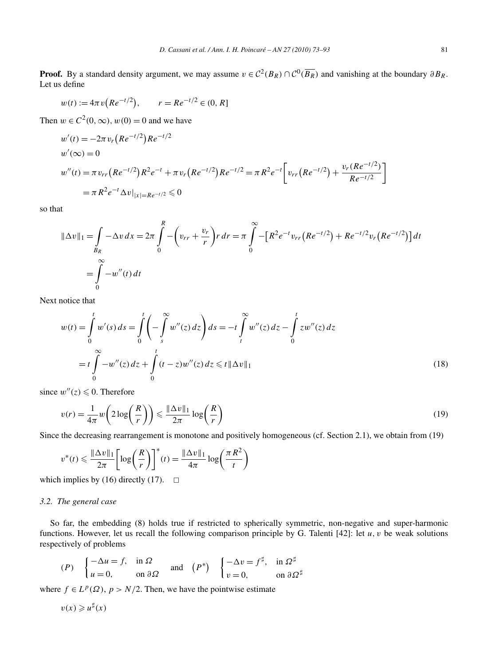**Proof.** By a standard density argument, we may assume  $v \in C^2(B_R) \cap C^0(\overline{B_R})$  and vanishing at the boundary  $\partial B_R$ . Let us define

$$
w(t) := 4\pi v(Re^{-t/2}),
$$
  $r = Re^{-t/2} \in (0, R]$ 

Then  $w \in C^2(0, \infty)$ ,  $w(0) = 0$  and we have

$$
w'(t) = -2\pi v_r (Re^{-t/2}) Re^{-t/2}
$$
  
\n
$$
w'(\infty) = 0
$$
  
\n
$$
w''(t) = \pi v_{rr} (Re^{-t/2}) R^2 e^{-t} + \pi v_r (Re^{-t/2}) Re^{-t/2} = \pi R^2 e^{-t} \left[ v_{rr} (Re^{-t/2}) + \frac{v_r (Re^{-t/2})}{Re^{-t/2}} \right]
$$
  
\n
$$
= \pi R^2 e^{-t} \Delta v|_{|x| = Re^{-t/2}} \le 0
$$

so that

$$
\|\Delta v\|_1 = \int_{B_R} -\Delta v \, dx = 2\pi \int_0^R -\left(v_{rr} + \frac{v_r}{r}\right) r \, dr = \pi \int_0^\infty -\left[R^2 e^{-t} v_{rr} \left(Re^{-t/2}\right) + Re^{-t/2} v_r \left(Re^{-t/2}\right)\right] dt
$$
  
= 
$$
\int_0^\infty -w''(t) \, dt
$$

Next notice that

$$
w(t) = \int_{0}^{t} w'(s) ds = \int_{0}^{t} \left( -\int_{s}^{\infty} w''(z) dz \right) ds = -t \int_{t}^{\infty} w''(z) dz - \int_{0}^{t} zw''(z) dz
$$

$$
= t \int_{0}^{\infty} -w''(z) dz + \int_{0}^{t} (t - z)w''(z) dz \leq t ||\Delta v||_{1}
$$
(18)

since  $w''(z) \leq 0$ . Therefore

$$
v(r) = \frac{1}{4\pi} w\left(2\log\left(\frac{R}{r}\right)\right) \le \frac{\|\Delta v\|_1}{2\pi} \log\left(\frac{R}{r}\right)
$$
\n(19)

Since the decreasing rearrangement is monotone and positively homogeneous (cf. Section 2.1), we obtain from (19)

$$
v^*(t) \leq \frac{\|\Delta v\|_1}{2\pi} \left[ \log \left( \frac{R}{r} \right) \right]^*(t) = \frac{\|\Delta v\|_1}{4\pi} \log \left( \frac{\pi R^2}{t} \right)
$$

which implies by (16) directly (17).  $\Box$ 

### *3.2. The general case*

So far, the embedding (8) holds true if restricted to spherically symmetric, non-negative and super-harmonic functions. However, let us recall the following comparison principle by G. Talenti  $[42]$ : let *u*, *v* be weak solutions respectively of problems

$$
(P) \quad \begin{cases} -\Delta u = f, & \text{in } \Omega \\ u = 0, & \text{on } \partial \Omega \end{cases} \quad \text{and} \quad (P^*) \quad \begin{cases} -\Delta v = f^{\sharp}, & \text{in } \Omega^{\sharp} \\ v = 0, & \text{on } \partial \Omega^{\sharp} \end{cases}
$$

where  $f \in L^p(\Omega)$ ,  $p > N/2$ . Then, we have the pointwise estimate

$$
v(x) \geq u^{\sharp}(x)
$$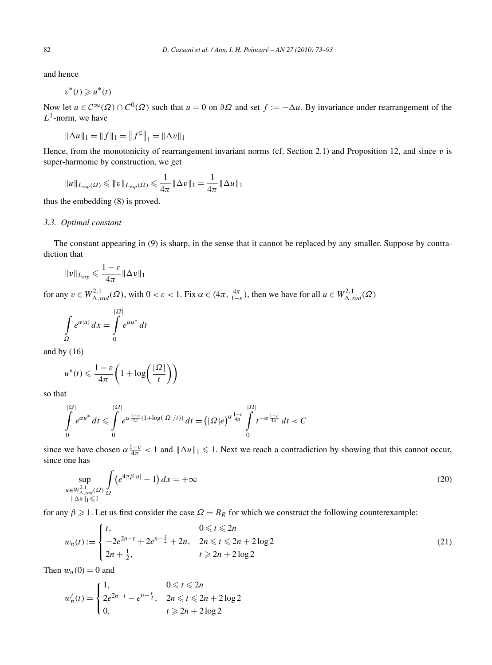and hence

 $v^*(t) \geq u^*(t)$ 

Now let *u* ∈  $\mathcal{C}^{\infty}(\Omega) \cap C^{0}(\overline{\Omega})$  such that *u* = 0 on *∂*Ω and set *f* := −∆*u*. By invariance under rearrangement of the  $L^1$ -norm, we have

 $\|\Delta u\|_1 = \|f\|_1 = \|f^\sharp\|_1 = \|\Delta v\|_1$ 

Hence, from the monotonicity of rearrangement invariant norms (cf. Section 2.1) and Proposition 12, and since *v* is super-harmonic by construction, we get

$$
||u||_{L_{exp}(\Omega)} \leq ||v||_{L_{exp}(\Omega)} \leq \frac{1}{4\pi} ||\Delta v||_1 = \frac{1}{4\pi} ||\Delta u||_1
$$

thus the embedding (8) is proved.

#### *3.3. Optimal constant*

The constant appearing in (9) is sharp, in the sense that it cannot be replaced by any smaller. Suppose by contradiction that

$$
||v||_{L_{exp}} \leqslant \frac{1-\varepsilon}{4\pi} ||\Delta v||_1
$$

for any  $v \in W^{2,1}_{\Delta,rad}(\Omega)$ , with  $0 < \varepsilon < 1$ . Fix  $\alpha \in (4\pi, \frac{4\pi}{1-\varepsilon})$ , then we have for all  $u \in W^{2,1}_{\Delta,rad}(\Omega)$ 

$$
\int_{\Omega} e^{\alpha |u|} dx = \int_{0}^{|\Omega|} e^{\alpha u^*} dt
$$

and by  $(16)$ 

$$
u^*(t) \leqslant \frac{1-\varepsilon}{4\pi} \left( 1 + \log \left( \frac{|\Omega|}{t} \right) \right)
$$

so that

$$
\int_{0}^{|\Omega|} e^{\alpha u^{*}} dt \leq \int_{0}^{|\Omega|} e^{\alpha \frac{1-\varepsilon}{4\pi} (1 + \log(|\Omega|/t))} dt = (|\Omega|e)^{\alpha \frac{1-\varepsilon}{4\pi}} \int_{0}^{|\Omega|} t^{-\alpha \frac{1-\varepsilon}{4\pi}} dt < C
$$

since we have chosen  $\alpha \frac{1-\varepsilon}{4\pi} < 1$  and  $\|\Delta u\|_1 \leq 1$ . Next we reach a contradiction by showing that this cannot occur, since one has

$$
\sup_{\substack{u \in W_{\Delta,rad}^{2,1}(\Omega) \\ \|\Delta u\|_1 \leqslant 1}} \int_{\Omega} \left( e^{4\pi \beta |u|} - 1 \right) dx = +\infty \tag{20}
$$

for any  $\beta \geq 1$ . Let us first consider the case  $\Omega = B_R$  for which we construct the following counterexample:

$$
w_n(t) := \begin{cases} t, & 0 \le t \le 2n \\ -2e^{2n-t} + 2e^{n-\frac{t}{2}} + 2n, & 2n \le t \le 2n + 2\log 2 \\ 2n + \frac{1}{2}, & t \ge 2n + 2\log 2 \end{cases}
$$
(21)

Then  $w_n(0) = 0$  and

$$
w'_{n}(t) = \begin{cases} 1, & 0 \leq t \leq 2n \\ 2e^{2n-t} - e^{n-\frac{t}{2}}, & 2n \leq t \leq 2n + 2\log 2 \\ 0, & t \geq 2n + 2\log 2 \end{cases}
$$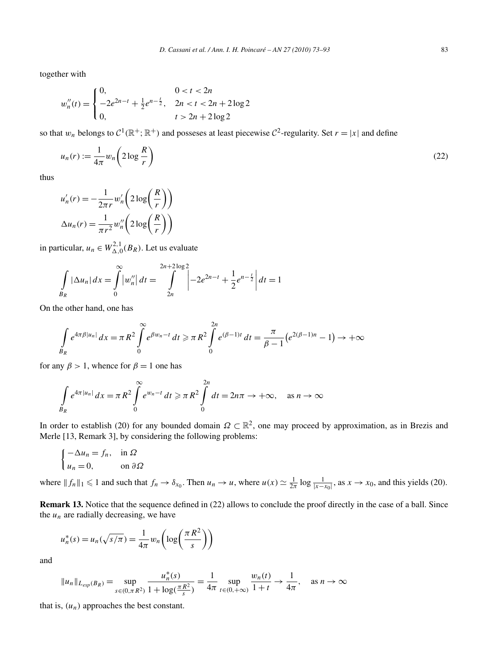together with

$$
w_n''(t) = \begin{cases} 0, & 0 < t < 2n \\ -2e^{2n-t} + \frac{1}{2}e^{n-\frac{t}{2}}, & 2n < t < 2n + 2\log 2 \\ 0, & t > 2n + 2\log 2 \end{cases}
$$

so that  $w_n$  belongs to  $C^1(\mathbb{R}^+; \mathbb{R}^+)$  and possesses at least piecewise  $C^2$ -regularity. Set  $r = |x|$  and define

$$
u_n(r) := \frac{1}{4\pi} w_n \left( 2\log\frac{R}{r} \right) \tag{22}
$$

thus

$$
u'_{n}(r) = -\frac{1}{2\pi r} w'_{n}\left(2\log\left(\frac{R}{r}\right)\right)
$$

$$
\Delta u_{n}(r) = \frac{1}{\pi r^{2}} w''_{n}\left(2\log\left(\frac{R}{r}\right)\right)
$$

in particular,  $u_n \in W_{\Delta,0}^{2,1}(B_R)$ . Let us evaluate

$$
\int_{B_R} |\Delta u_n| dx = \int_{0}^{\infty} |w_n''| dt = \int_{2n}^{2n+2\log 2} \left| -2e^{2n-t} + \frac{1}{2}e^{n-\frac{t}{2}} \right| dt = 1
$$

On the other hand, one has

$$
\int_{B_R} e^{4\pi \beta |u_n|} dx = \pi R^2 \int_0^{\infty} e^{\beta w_n - t} dt \ge \pi R^2 \int_0^{2n} e^{(\beta - 1)t} dt = \frac{\pi}{\beta - 1} (e^{2(\beta - 1)n} - 1) \to +\infty
$$

for any  $\beta > 1$ , whence for  $\beta = 1$  one has

$$
\int\limits_{B_R} e^{4\pi |u_n|} dx = \pi R^2 \int\limits_0^\infty e^{w_n - t} dt \ge \pi R^2 \int\limits_0^{2n} dt = 2n\pi \to +\infty, \quad \text{as } n \to \infty
$$

In order to establish (20) for any bounded domain *Ω* ⊂  $\mathbb{R}^2$ , one may proceed by approximation, as in Brezis and Merle [13, Remark 3], by considering the following problems:

$$
\begin{cases}\n-\Delta u_n = f_n, & \text{in } \Omega \\
u_n = 0, & \text{on } \partial\Omega\n\end{cases}
$$

where  $||f_n||_1 \le 1$  and such that  $f_n \to \delta_{x_0}$ . Then  $u_n \to u$ , where  $u(x) \simeq \frac{1}{2\pi} \log \frac{1}{|x-x_0|}$ , as  $x \to x_0$ , and this yields (20).

**Remark 13.** Notice that the sequence defined in (22) allows to conclude the proof directly in the case of a ball. Since the  $u_n$  are radially decreasing, we have

$$
u_n^*(s) = u_n(\sqrt{s/\pi}) = \frac{1}{4\pi} w_n\left(\log\left(\frac{\pi R^2}{s}\right)\right)
$$

and

$$
||u_n||_{L_{exp}(B_R)} = \sup_{s \in (0,\pi R^2)} \frac{u_n^*(s)}{1 + \log(\frac{\pi R^2}{s})} = \frac{1}{4\pi} \sup_{t \in (0,+\infty)} \frac{w_n(t)}{1+t} \to \frac{1}{4\pi}, \quad \text{as } n \to \infty
$$

that is,  $(u_n)$  approaches the best constant.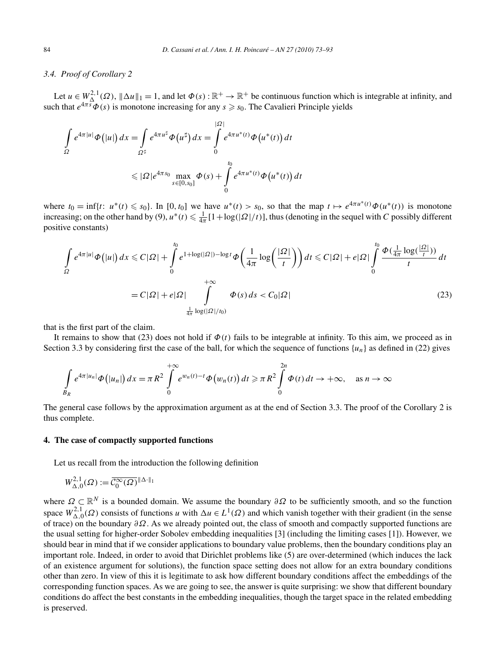## *3.4. Proof of Corollary 2*

Let  $u \in W^{2,1}_{\Delta}(\Omega)$ ,  $\|\Delta u\|_1 = 1$ , and let  $\Phi(s): \mathbb{R}^+ \to \mathbb{R}^+$  be continuous function which is integrable at infinity, and such that  $e^{4\pi s} \Phi(s)$  is monotone increasing for any  $s \geq s_0$ . The Cavalieri Principle yields

$$
\int_{\Omega} e^{4\pi |u|} \Phi(|u|) dx = \int_{\Omega^{\sharp}} e^{4\pi u^{\sharp}} \Phi(u^{\sharp}) dx = \int_{0}^{|\Omega|} e^{4\pi u^{*}(t)} \Phi(u^{*}(t)) dt
$$
  

$$
\leq |\Omega| e^{4\pi s_{0}} \max_{s \in [0, s_{0}]} \Phi(s) + \int_{0}^{t_{0}} e^{4\pi u^{*}(t)} \Phi(u^{*}(t)) dt
$$

where  $t_0 = \inf\{t: u^*(t) \leq s_0\}$ . In [0*,t*<sub>0</sub>] we have  $u^*(t) > s_0$ , so that the map  $t \mapsto e^{4\pi u^*(t)} \Phi(u^*(t))$  is monotone increasing; on the other hand by (9),  $u^*(t) \le \frac{1}{4\pi} [1 + \log(|\Omega|/t)]$ , thus (denoting in the sequel with *C* possibly different positive constants)

$$
\int_{\Omega} e^{4\pi|u|} \Phi\big(|u|\big) dx \leq C|\Omega| + \int_{0}^{t_0} e^{1+\log(|\Omega|) - \log t} \Phi\bigg(\frac{1}{4\pi} \log\bigg(\frac{|\Omega|}{t}\bigg)\bigg) dt \leq C|\Omega| + e|\Omega| \int_{0}^{t_0} \frac{\Phi(\frac{1}{4\pi} \log(\frac{|\Omega|}{t}))}{t} dt
$$
\n
$$
= C|\Omega| + e|\Omega| \int_{\frac{1}{4\pi} \log(|\Omega|/t_0)}^{+\infty} \Phi(s) ds < C_0|\Omega| \tag{23}
$$

that is the first part of the claim.

It remains to show that (23) does not hold if  $\Phi(t)$  fails to be integrable at infinity. To this aim, we proceed as in Section 3.3 by considering first the case of the ball, for which the sequence of functions  $\{u_n\}$  as defined in (22) gives

$$
\int_{B_R} e^{4\pi |u_n|} \Phi\big(|u_n|\big) dx = \pi R^2 \int_0^{+\infty} e^{w_n(t)-t} \Phi\big(w_n(t)\big) dt \ge \pi R^2 \int_0^{2n} \Phi(t) dt \to +\infty, \quad \text{as } n \to \infty
$$

The general case follows by the approximation argument as at the end of Section 3.3. The proof of the Corollary 2 is thus complete.

## **4. The case of compactly supported functions**

Let us recall from the introduction the following definition

$$
W^{2,1}_{\Delta,0}(\Omega):=\overline{\mathcal{C}_0^{\infty}(\Omega)}^{\|\Delta\cdot\|_1}
$$

where  $Ω ⊂ ℝ<sup>N</sup>$  is a bounded domain. We assume the boundary  $∂Ω$  to be sufficiently smooth, and so the function space  $W_{\Delta,0}^{2,1}(\Omega)$  consists of functions *u* with  $\Delta u \in L^1(\Omega)$  and which vanish together with their gradient (in the sense of trace) on the boundary *∂Ω*. As we already pointed out, the class of smooth and compactly supported functions are the usual setting for higher-order Sobolev embedding inequalities [3] (including the limiting cases [1]). However, we should bear in mind that if we consider applications to boundary value problems, then the boundary conditions play an important role. Indeed, in order to avoid that Dirichlet problems like (5) are over-determined (which induces the lack of an existence argument for solutions), the function space setting does not allow for an extra boundary conditions other than zero. In view of this it is legitimate to ask how different boundary conditions affect the embeddings of the corresponding function spaces. As we are going to see, the answer is quite surprising: we show that different boundary conditions do affect the best constants in the embedding inequalities, though the target space in the related embedding is preserved.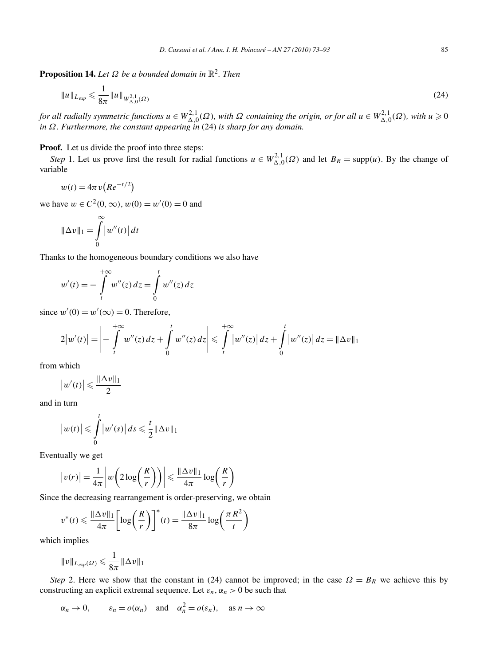**Proposition 14.** Let  $\Omega$  be a bounded domain in  $\mathbb{R}^2$ . Then

$$
||u||_{L_{exp}} \leqslant \frac{1}{8\pi} ||u||_{W_{\Delta,0}^{2,1}(\Omega)}
$$
\n(24)

for all radially symmetric functions  $u \in W^{2,1}_{\Delta,0}(\Omega)$ , with  $\Omega$  containing the origin, or for all  $u \in W^{2,1}_{\Delta,0}(\Omega)$ , with  $u \ge 0$ *in Ω. Furthermore, the constant appearing in* (24) *is sharp for any domain.*

## **Proof.** Let us divide the proof into three steps:

*Step* 1. Let us prove first the result for radial functions  $u \in W_{\Delta,0}^{2,1}(\Omega)$  and let  $B_R = \text{supp}(u)$ . By the change of variable

$$
w(t) = 4\pi v \left( Re^{-t/2} \right)
$$

*we have*  $w \in C^2(0, \infty)$ *,*  $w(0) = w'(0) = 0$  *and* 

$$
\|\Delta v\|_1 = \int\limits_0^\infty \left|w''(t)\right|dt
$$

Thanks to the homogeneous boundary conditions we also have

$$
w'(t) = -\int_{t}^{+\infty} w''(z) dz = \int_{0}^{t} w''(z) dz
$$

since  $w'(0) = w'(\infty) = 0$ . Therefore,

$$
2|w'(t)| = \left| - \int_{t}^{+\infty} w''(z) dz + \int_{0}^{t} w''(z) dz \right| \leq \int_{t}^{+\infty} |w''(z)| dz + \int_{0}^{t} |w''(z)| dz = ||\Delta v||_{1}
$$

from which

$$
\left|w'(t)\right| \leqslant \frac{\|\Delta v\|_1}{2}
$$

and in turn

$$
\left|w(t)\right| \leqslant \int\limits_0^t \left|w'(s)\right| ds \leqslant \frac{t}{2} \|\Delta v\|_1
$$

Eventually we get

$$
|v(r)| = \frac{1}{4\pi} \left| w\left(2 \log\left(\frac{R}{r}\right)\right) \right| \leq \frac{\|\Delta v\|_1}{4\pi} \log\left(\frac{R}{r}\right)
$$

Since the decreasing rearrangement is order-preserving, we obtain

$$
v^*(t) \leq \frac{\|\Delta v\|_1}{4\pi} \left[ \log \left( \frac{R}{r} \right) \right]^*(t) = \frac{\|\Delta v\|_1}{8\pi} \log \left( \frac{\pi R^2}{t} \right)
$$

which implies

$$
||v||_{L_{exp}(\Omega)} \leqslant \frac{1}{8\pi} ||\Delta v||_1
$$

*Step* 2. Here we show that the constant in (24) cannot be improved; in the case  $\Omega = B_R$  we achieve this by constructing an explicit extremal sequence. Let  $\varepsilon_n$ ,  $\alpha_n > 0$  be such that

 $\alpha_n \to 0$ ,  $\varepsilon_n = o(\alpha_n)$  and  $\alpha_n^2 = o(\varepsilon_n)$ , as  $n \to \infty$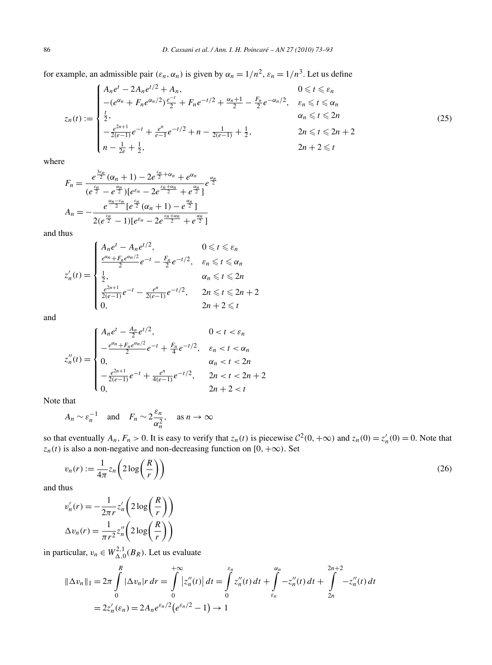for example, an admissible pair  $(\varepsilon_n, \alpha_n)$  is given by  $\alpha_n = 1/n^2$ ,  $\varepsilon_n = 1/n^3$ . Let us define

$$
z_n(t) := \begin{cases} A_n e^t - 2A_n e^{t/2} + A_n, & 0 \le t \le \varepsilon_n \\ -(e^{\alpha_n} + F_n e^{\alpha_n/2}) \frac{e^{-t}}{2} + F_n e^{-t/2} + \frac{\alpha_n + 1}{2} - \frac{F_n}{2} e^{-\alpha_n/2}, & \varepsilon_n \le t \le \alpha_n \\ \frac{t}{2}, & \alpha_n \le t \le 2n \\ -\frac{e^{2n+1}}{2(e-1)} e^{-t} + \frac{e^n}{e-1} e^{-t/2} + n - \frac{1}{2(e-1)} + \frac{1}{2}, & 2n \le t \le 2n + 2 \\ n - \frac{1}{2e} + \frac{1}{2}, & 2n + 2 \le t \end{cases} (25)
$$

where

$$
F_n = \frac{e^{\frac{3\varepsilon_n}{2}}(\alpha_n + 1) - 2e^{\frac{\varepsilon_n}{2} + \alpha_n} + e^{\alpha_n}}{(e^{\frac{\varepsilon_n}{2}} - e^{\frac{\alpha_n}{2}})[e^{\varepsilon_n} - 2e^{\frac{\varepsilon_n + \alpha_n}{2}} + e^{\frac{\alpha_n}{2}}]} e^{\frac{\alpha_n}{2}}
$$

$$
A_n = -\frac{e^{\frac{\alpha_n - \varepsilon_n}{2}} [e^{\frac{\varepsilon_n}{2}}(\alpha_n + 1) - e^{\frac{\alpha_n}{2}}]}{2(e^{\frac{\varepsilon_n}{2}} - 1)[e^{\varepsilon_n} - 2e^{\frac{\varepsilon_n + \alpha_n}{2}} + e^{\frac{\alpha_n}{2}}]}
$$

and thus

$$
z'_{n}(t) = \begin{cases} A_{n}e^{t} - A_{n}e^{t/2}, & 0 \leq t \leq \varepsilon_{n} \\ \frac{e^{\alpha_{n}} + F_{n}e^{\alpha_{n}/2}}{2}e^{-t} - \frac{F_{n}}{2}e^{-t/2}, & \varepsilon_{n} \leq t \leq \alpha_{n} \\ \frac{1}{2}, & \alpha_{n} \leq t \leq 2n \\ \frac{e^{2n+1}}{2(e-1)}e^{-t} - \frac{e^{n}}{2(e-1)}e^{-t/2}, & 2n \leq t \leq 2n+2 \\ 0, & 2n+2 \leq t \end{cases}
$$

and

$$
z''_n(t) = \begin{cases} A_n e^t - \frac{A_n}{2} e^{t/2}, & 0 < t < \varepsilon_n \\ -\frac{e^{\alpha_n} + F_n e^{\alpha_n/2}}{2} e^{-t} + \frac{F_n}{4} e^{-t/2}, & \varepsilon_n < t < \alpha_n \\ 0, & \alpha_n < t < 2n \\ -\frac{e^{2n+1}}{2(e-1)} e^{-t} + \frac{e^n}{4(e-1)} e^{-t/2}, & 2n < t < 2n+2 \\ 0, & 2n+2 < t \end{cases}
$$

Note that

$$
A_n \sim \varepsilon_n^{-1}
$$
 and  $F_n \sim 2 \frac{\varepsilon_n}{\alpha_n^2}$ , as  $n \to \infty$ 

so that eventually  $A_n$ ,  $F_n > 0$ . It is easy to verify that  $z_n(t)$  is piecewise  $C^2(0, +\infty)$  and  $z_n(0) = z'_n(0) = 0$ . Note that  $z_n(t)$  is also a non-negative and non-decreasing function on [0, + $\infty$ ). Set

$$
v_n(r) := \frac{1}{4\pi} z_n \left( 2\log\left(\frac{R}{r}\right) \right) \tag{26}
$$

and thus

$$
v'_{n}(r) = -\frac{1}{2\pi r} z'_{n} \left( 2\log\left(\frac{R}{r}\right) \right)
$$

$$
\Delta v_{n}(r) = \frac{1}{\pi r^{2}} z''_{n} \left( 2\log\left(\frac{R}{r}\right) \right)
$$

in particular,  $v_n \in W^{2,1}_{\Delta,0}(B_R)$ . Let us evaluate

$$
\|\Delta v_n\|_1 = 2\pi \int_0^R |\Delta v_n| r \, dr = \int_0^{+\infty} |z_n''(t)| \, dt = \int_0^{\varepsilon_n} z_n''(t) \, dt + \int_{\varepsilon_n}^{\alpha_n} -z_n''(t) \, dt + \int_{2n}^{2n+2} -z_n''(t) \, dt
$$

$$
= 2z_n'(\varepsilon_n) = 2A_n e^{\varepsilon_n/2} (e^{\varepsilon_n/2} - 1) \to 1
$$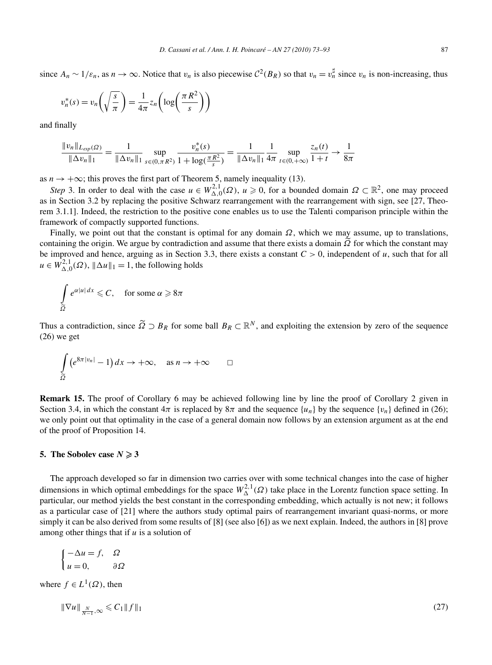since  $A_n \sim 1/\varepsilon_n$ , as  $n \to \infty$ . Notice that  $v_n$  is also piecewise  $C^2(B_R)$  so that  $v_n = v_n^{\sharp}$  since  $v_n$  is non-increasing, thus

$$
v_n^*(s) = v_n\left(\sqrt{\frac{s}{\pi}}\right) = \frac{1}{4\pi} z_n\left(\log\left(\frac{\pi R^2}{s}\right)\right)
$$

and finally

$$
\frac{\|v_n\|_{L_{exp}(\Omega)}}{\|\Delta v_n\|_1} = \frac{1}{\|\Delta v_n\|_1} \sup_{s \in (0,\pi R^2)} \frac{v_n^*(s)}{1 + \log(\frac{\pi R^2}{s})} = \frac{1}{\|\Delta v_n\|_1} \frac{1}{4\pi} \sup_{t \in (0,+\infty)} \frac{z_n(t)}{1+t} \to \frac{1}{8\pi}
$$

as  $n \to +\infty$ ; this proves the first part of Theorem 5, namely inequality (13).

*Step* 3. In order to deal with the case  $u \in W_{\Delta,0}^{2,1}(\Omega)$ ,  $u \ge 0$ , for a bounded domain  $\Omega \subset \mathbb{R}^2$ , one may proceed as in Section 3.2 by replacing the positive Schwarz rearrangement with the rearrangement with sign, see [27, Theorem 3.1.1]. Indeed, the restriction to the positive cone enables us to use the Talenti comparison principle within the framework of compactly supported functions.

Finally, we point out that the constant is optimal for any domain *Ω*, which we may assume, up to translations, containing the origin. We argue by contradiction and assume that there exists a domain *Ω* for which the constant may be improved and hence, arguing as in Section 3.3, there exists a constant  $C > 0$ , independent of *u*, such that for all  $u \in W^{2,1}_{\Delta,0}(\Omega)$ ,  $\|\Delta u\|_1 = 1$ , the following holds

$$
\int_{\widetilde{\Omega}} e^{\alpha |u| dx} \leqslant C, \quad \text{for some } \alpha \geqslant 8\pi
$$

Thus a contradiction, since  $\tilde{Q} \supset B_R$  for some ball  $B_R \subset \mathbb{R}^N$ , and exploiting the extension by zero of the sequence  $(26)$  we get

$$
\int_{\widetilde{\Omega}} \left( e^{8\pi |v_n|} - 1 \right) dx \to +\infty, \quad \text{as } n \to +\infty \qquad \Box
$$

**Remark 15.** The proof of Corollary 6 may be achieved following line by line the proof of Corollary 2 given in Section 3.4, in which the constant  $4\pi$  is replaced by  $8\pi$  and the sequence  $\{u_n\}$  by the sequence  $\{v_n\}$  defined in (26); we only point out that optimality in the case of a general domain now follows by an extension argument as at the end of the proof of Proposition 14.

# **5.** The Sobolev case  $N \geq 3$

The approach developed so far in dimension two carries over with some technical changes into the case of higher dimensions in which optimal embeddings for the space  $W_{\Delta}^{2,1}(\Omega)$  take place in the Lorentz function space setting. In particular, our method yields the best constant in the corresponding embedding, which actually is not new; it follows as a particular case of [21] where the authors study optimal pairs of rearrangement invariant quasi-norms, or more simply it can be also derived from some results of [8] (see also [6]) as we next explain. Indeed, the authors in [8] prove among other things that if *u* is a solution of

$$
\begin{cases}\n-\Delta u = f, & \Omega \\
u = 0, & \partial \Omega\n\end{cases}
$$

where  $f \in L^1(\Omega)$ , then

$$
\|\nabla u\|_{\frac{N}{N-1},\infty} \leqslant C_1 \|f\|_1 \tag{27}
$$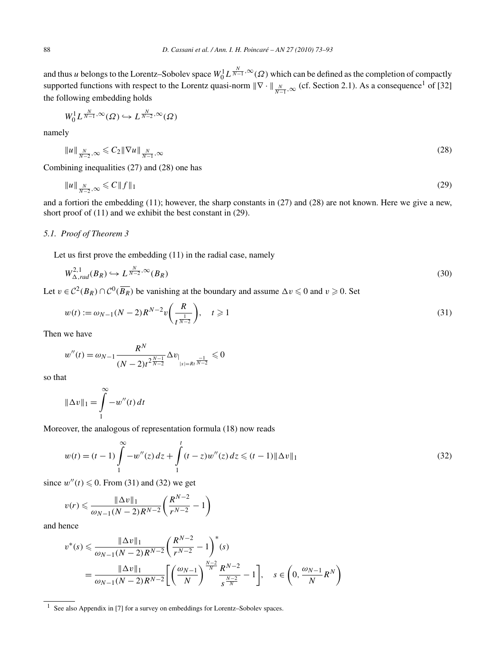and thus *u* belongs to the Lorentz–Sobolev space  $W_0^1 L^{\frac{N}{N-1}, \infty}(\Omega)$  which can be defined as the completion of compactly supported functions with respect to the Lorentz quasi-norm  $\|\nabla \cdot \|_{\frac{N}{N-1},\infty}$  (cf. Section 2.1). As a consequence<sup>1</sup> of [32] the following embedding holds

$$
W_0^1 L^{\frac{N}{N-1},\infty}(\Omega) \hookrightarrow L^{\frac{N}{N-2},\infty}(\Omega)
$$

namely

$$
\|u\|_{\frac{N}{N-2},\infty} \leqslant C_2 \|\nabla u\|_{\frac{N}{N-1},\infty} \tag{28}
$$

Combining inequalities (27) and (28) one has

 $||u||_{\frac{N}{N-2},\infty} \leq C||f||_1$  (29)

and a fortiori the embedding (11); however, the sharp constants in (27) and (28) are not known. Here we give a new, short proof of (11) and we exhibit the best constant in (29).

#### *5.1. Proof of Theorem 3*

Let us first prove the embedding (11) in the radial case, namely

$$
W^{2,1}_{\Delta,rad}(B_R) \hookrightarrow L^{\frac{N}{N-2},\infty}(B_R)
$$
\n(30)

Let  $v \in C^2(B_R) \cap C^0(\overline{B_R})$  be vanishing at the boundary and assume  $\Delta v \le 0$  and  $v \ge 0$ . Set

$$
w(t) := \omega_{N-1}(N-2)R^{N-2}v\left(\frac{R}{t^{\frac{1}{N-2}}}\right), \quad t \geq 1
$$
\n(31)

Then we have

$$
w''(t) = \omega_{N-1} \frac{R^N}{(N-2)t^{2\frac{N-1}{N-2}}} \Delta v_{\big|_{|x|=Rt} \frac{-1}{N-2}} \leq 0
$$

so that

$$
\|\Delta v\|_1 = \int_{1}^{\infty} -w''(t) dt
$$

Moreover, the analogous of representation formula (18) now reads

$$
w(t) = (t - 1) \int_{1}^{\infty} -w''(z) dz + \int_{1}^{t} (t - z)w''(z) dz \le (t - 1) \|\Delta v\|_{1}
$$
\n(32)

since  $w''(t) \leq 0$ . From (31) and (32) we get

$$
v(r) \leq \frac{\|\Delta v\|_1}{\omega_{N-1}(N-2)R^{N-2}} \left(\frac{R^{N-2}}{r^{N-2}} - 1\right)
$$

and hence

$$
v^*(s) \leq \frac{\|\Delta v\|_1}{\omega_{N-1}(N-2)R^{N-2}} \left(\frac{R^{N-2}}{r^{N-2}} - 1\right)^*(s)
$$
  
= 
$$
\frac{\|\Delta v\|_1}{\omega_{N-1}(N-2)R^{N-2}} \left[ \left(\frac{\omega_{N-1}}{N}\right)^{\frac{N-2}{N}} \frac{R^{N-2}}{s^{\frac{N-2}{N}}} - 1 \right], \quad s \in \left(0, \frac{\omega_{N-1}}{N}R^N\right)
$$

<sup>1</sup> See also Appendix in [7] for a survey on embeddings for Lorentz–Sobolev spaces.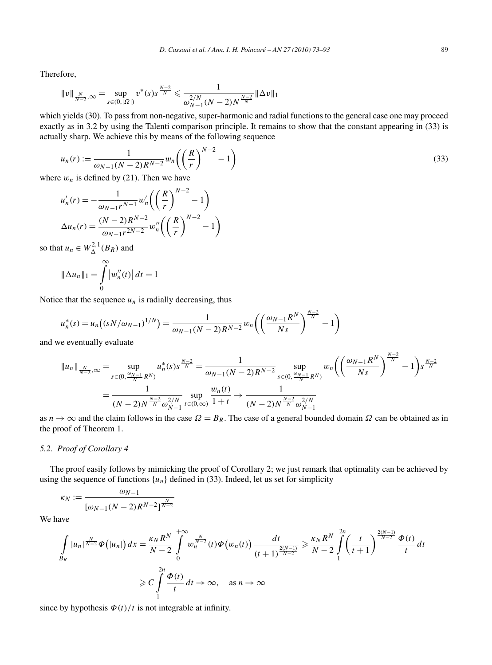Therefore,

$$
||v||_{\frac{N}{N-2},\infty} = \sup_{s \in (0,|\Omega|)} v^*(s) s^{\frac{N-2}{N}} \leq \frac{1}{\omega_{N-1}^{2/N} (N-2) N^{\frac{N-2}{N}}} ||\Delta v||_1
$$

which yields (30). To pass from non-negative, super-harmonic and radial functions to the general case one may proceed exactly as in 3.2 by using the Talenti comparison principle. It remains to show that the constant appearing in (33) is actually sharp. We achieve this by means of the following sequence

$$
u_n(r) := \frac{1}{\omega_{N-1}(N-2)R^{N-2}} w_n \left( \left( \frac{R}{r} \right)^{N-2} - 1 \right)
$$
\n(33)

where  $w_n$  is defined by (21). Then we have

$$
u'_{n}(r) = -\frac{1}{\omega_{N-1}r^{N-1}} w'_{n}\left(\left(\frac{R}{r}\right)^{N-2} - 1\right)
$$

$$
\Delta u_{n}(r) = \frac{(N-2)R^{N-2}}{\omega_{N-1}r^{2N-2}} w''_{n}\left(\left(\frac{R}{r}\right)^{N-2} - 1\right)
$$

so that  $u_n \in W^{2,1}_{\Delta}(B_R)$  and

$$
\|\Delta u_n\|_1 = \int_{0}^{\infty} |w''_n(t)| dt = 1
$$

Notice that the sequence  $u_n$  is radially decreasing, thus

$$
u_n^*(s) = u_n((sN/\omega_{N-1})^{1/N}) = \frac{1}{\omega_{N-1}(N-2)R^{N-2}} w_n\left(\left(\frac{\omega_{N-1}R^N}{Ns}\right)^{\frac{N-2}{N}} - 1\right)
$$

and we eventually evaluate

$$
||u_n||_{\frac{N}{N-2},\infty} = \sup_{s \in (0,\frac{\omega_{N-1}}{N}R^N)} u_n^*(s) s^{\frac{N-2}{N}} = \frac{1}{\omega_{N-1}(N-2)R^{N-2}} \sup_{s \in (0,\frac{\omega_{N-1}}{N}R^N)} w_n \left( \left( \frac{\omega_{N-1}R^N}{Ns} \right)^{\frac{N-2}{N}} - 1 \right) s^{\frac{N-2}{N}}
$$
  
= 
$$
\frac{1}{(N-2)N^{\frac{N-2}{N}} \omega_{N-1}^{2/N}} \sup_{t \in (0,\infty)} \frac{w_n(t)}{1+t} \to \frac{1}{(N-2)N^{\frac{N-2}{N}} \omega_{N-1}^{2/N}}
$$

as  $n \to \infty$  and the claim follows in the case  $\Omega = B_R$ . The case of a general bounded domain  $\Omega$  can be obtained as in the proof of Theorem 1.

#### *5.2. Proof of Corollary 4*

The proof easily follows by mimicking the proof of Corollary 2; we just remark that optimality can be achieved by using the sequence of functions  $\{u_n\}$  defined in (33). Indeed, let us set for simplicity

$$
\kappa_N := \frac{\omega_{N-1}}{[\omega_{N-1}(N-2)R^{N-2}]^{\frac{N}{N-2}}}
$$

We have

$$
\int_{B_R} |u_n|^{\frac{N}{N-2}} \Phi\left(|u_n|\right) dx = \frac{\kappa_N R^N}{N-2} \int_0^{+\infty} w_n^{\frac{N}{N-2}}(t) \Phi\left(w_n(t)\right) \frac{dt}{(t+1)^{\frac{2(N-1)}{N-2}}} \ge \frac{\kappa_N R^N}{N-2} \int_1^{2n} \left(\frac{t}{t+1}\right)^{\frac{2(N-1)}{N-2}} \frac{\Phi(t)}{t} dt
$$
\n
$$
\ge C \int_1^{2n} \frac{\Phi(t)}{t} dt \to \infty, \quad \text{as } n \to \infty
$$

since by hypothesis  $\Phi(t)/t$  is not integrable at infinity.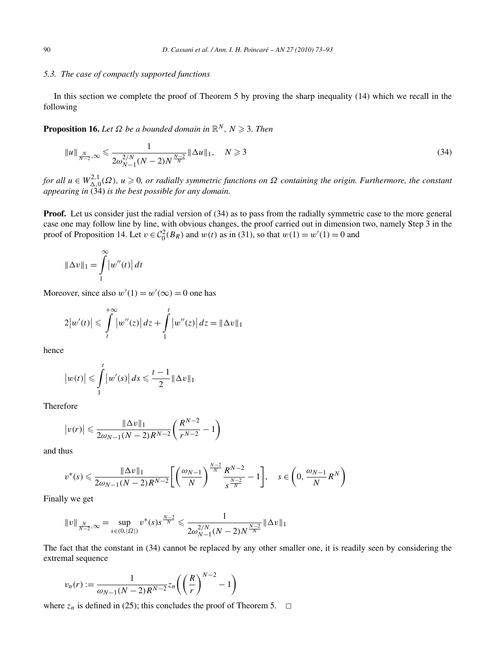#### *5.3. The case of compactly supported functions*

In this section we complete the proof of Theorem 5 by proving the sharp inequality (14) which we recall in the following

**Proposition 16.** Let  $\Omega$  be a bounded domain in  $\mathbb{R}^N$ ,  $N \geq 3$ . Then

$$
||u||_{\frac{N}{N-2},\infty} \leq \frac{1}{2\omega_{N-1}^{2/N}(N-2)N^{\frac{N-2}{N}}} ||\Delta u||_1, \quad N \geq 3
$$
\n(34)

*for all*  $u \in W^{2,1}_{\Delta,0}(\Omega)$ ,  $u \ge 0$ , or radially symmetric functions on  $\Omega$  containing the origin. Furthermore, the constant *appearing in* (34) *is the best possible for any domain.*

**Proof.** Let us consider just the radial version of (34) as to pass from the radially symmetric case to the more general case one may follow line by line, with obvious changes, the proof carried out in dimension two, namely Step 3 in the proof of Proposition 14. Let  $v \in C_0^2(B_R)$  and  $w(t)$  as in (31), so that  $w(1) = w'(1) = 0$  and

$$
\|\Delta v\|_1 = \int_{1}^{\infty} |w''(t)| dt
$$

Moreover, since also  $w'(1) = w'(\infty) = 0$  one has

$$
2|w'(t)| \leq \int_{t}^{+\infty} |w''(z)| dz + \int_{1}^{t} |w''(z)| dz = ||\Delta v||_{1}
$$

hence

$$
\left|w(t)\right| \leqslant \int\limits_{1}^{t} \left|w'(s)\right| ds \leqslant \frac{t-1}{2} \|\Delta v\|_{1}
$$

Therefore

$$
|v(r)| \leq \frac{\|\Delta v\|_1}{2\omega_{N-1}(N-2)R^{N-2}} \left(\frac{R^{N-2}}{r^{N-2}}-1\right)
$$

and thus

$$
v^*(s) \le \frac{\|\Delta v\|_1}{2\omega_{N-1}(N-2)R^{N-2}} \bigg[ \bigg(\frac{\omega_{N-1}}{N}\bigg)^{\frac{N-2}{N}} \frac{R^{N-2}}{s^{\frac{N-2}{N}}} - 1 \bigg], \quad s \in \left(0, \frac{\omega_{N-1}}{N} R^N\right)
$$

Finally we get

$$
||v||_{\frac{N}{N-2},\infty} = \sup_{s \in (0,|\Omega|)} v^*(s) s^{\frac{N-2}{N}} \leq \frac{1}{2\omega_{N-1}^{2/N} (N-2) N^{\frac{N-2}{N}}} ||\Delta v||_1
$$

The fact that the constant in (34) cannot be replaced by any other smaller one, it is readily seen by considering the extremal sequence

$$
v_n(r) := \frac{1}{\omega_{N-1}(N-2)R^{N-2}} z_n \left( \left( \frac{R}{r} \right)^{N-2} - 1 \right)
$$

where  $z_n$  is defined in (25); this concludes the proof of Theorem 5.  $\Box$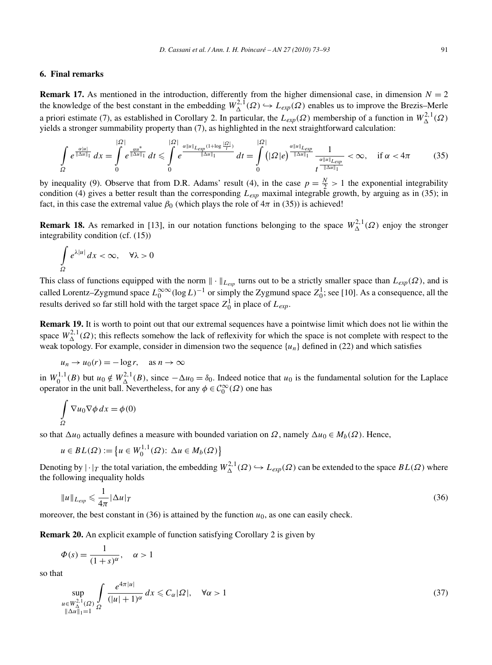### **6. Final remarks**

**Remark 17.** As mentioned in the introduction, differently from the higher dimensional case, in dimension  $N = 2$ the knowledge of the best constant in the embedding  $W_{\Delta}^{2,1}(\Omega) \hookrightarrow L_{exp}(\Omega)$  enables us to improve the Brezis–Merle a priori estimate (7), as established in Corollary 2. In particular, the  $L_{exp}(\Omega)$  membership of a function in  $W^{2,1}_\Delta(\Omega)$ yields a stronger summability property than (7), as highlighted in the next straightforward calculation:

$$
\int_{\Omega} e^{\frac{\alpha |u|}{\|\Delta u\|_1}} dx = \int_{0}^{|\Omega|} e^{\frac{\alpha u^*}{\|\Delta u\|_1}} dt \leq \int_{0}^{|\Omega|} e^{\frac{\alpha \|u\|_{L\exp} (1 + \log \frac{|\Omega|}{t})}{\|\Delta u\|_1}} dt = \int_{0}^{|\Omega|} (|\Omega| e)^{\frac{\alpha \|u\|_{L\exp}}{\|\Delta u\|_1}} \frac{1}{t^{\frac{\alpha \|u\|_{L\exp}}{\|\Delta u\|_1}}} < \infty, \quad \text{if } \alpha < 4\pi
$$
 (35)

by inequality (9). Observe that from D.R. Adams' result (4), in the case  $p = \frac{N}{2} > 1$  the exponential integrability condition (4) gives a better result than the corresponding  $L_{exp}$  maximal integrable growth, by arguing as in (35); in fact, in this case the extremal value  $\beta_0$  (which plays the role of  $4\pi$  in (35)) is achieved!

**Remark 18.** As remarked in [13], in our notation functions belonging to the space  $W^{2,1}_\Delta(\Omega)$  enjoy the stronger integrability condition (cf. (15))

$$
\int_{\Omega} e^{\lambda |u|} dx < \infty, \quad \forall \lambda > 0
$$

This class of functions equipped with the norm  $\|\cdot\|_{L_{exp}}$  turns out to be a strictly smaller space than  $L_{exp}(\Omega)$ , and is called Lorentz–Zygmund space  $L_0^{\infty\infty}(\log L)^{-1}$  or simply the Zygmund space  $Z_0^1$ ; see [10]. As a consequence, all the results derived so far still hold with the target space  $Z_0^1$  in place of  $L_{exp}$ .

**Remark 19.** It is worth to point out that our extremal sequences have a pointwise limit which does not lie within the space  $W^{2,1}_\Delta(\Omega)$ ; this reflects somehow the lack of reflexivity for which the space is not complete with respect to the weak topology. For example, consider in dimension two the sequence  $\{u_n\}$  defined in (22) and which satisfies

$$
u_n \to u_0(r) = -\log r
$$
, as  $n \to \infty$ 

in  $W_0^{1,1}(B)$  but  $u_0 \notin W_\Delta^{2,1}(B)$ , since  $-\Delta u_0 = \delta_0$ . Indeed notice that  $u_0$  is the fundamental solution for the Laplace operator in the unit ball. Nevertheless, for any  $\phi \in C_0^{\infty}(\Omega)$  one has

$$
\int_{\Omega} \nabla u_0 \nabla \phi \, dx = \phi(0)
$$

so that  $\Delta u_0$  actually defines a measure with bounded variation on  $\Omega$ , namely  $\Delta u_0 \in M_b(\Omega)$ . Hence,

$$
u \in BL(\Omega) := \left\{ u \in W_0^{1,1}(\Omega) : \Delta u \in M_b(\Omega) \right\}
$$

Denoting by  $|\cdot|_T$  the total variation, the embedding  $W_\Delta^{2,1}(\Omega) \hookrightarrow L_{exp}(\Omega)$  can be extended to the space  $BL(\Omega)$  where the following inequality holds

$$
||u||_{L_{exp}} \leqslant \frac{1}{4\pi} |\Delta u|_T \tag{36}
$$

moreover, the best constant in  $(36)$  is attained by the function  $u<sub>0</sub>$ , as one can easily check.

**Remark 20.** An explicit example of function satisfying Corollary 2 is given by

$$
\Phi(s) = \frac{1}{(1+s)^{\alpha}}, \quad \alpha > 1
$$

so that

$$
\sup_{\substack{u \in W_{\Delta}^{2,1}(\Omega) \\ \|\Delta u\|_1 = 1}} \int_{\Omega} \frac{e^{4\pi |u|}}{(|u| + 1)^{\alpha}} dx \leq C_{\alpha} |\Omega|, \quad \forall \alpha > 1
$$
\n(37)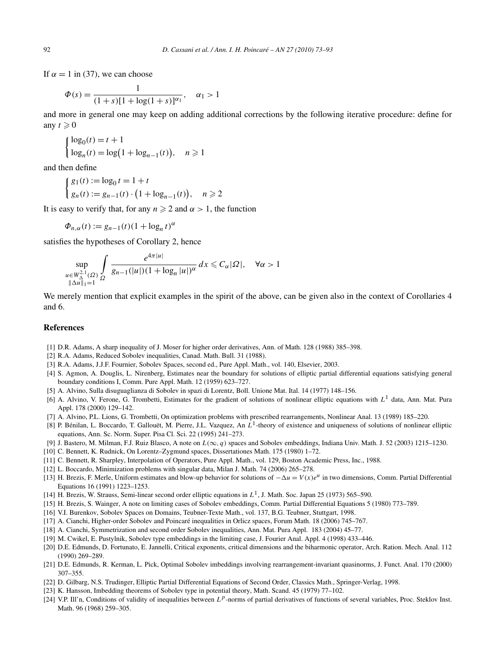If  $\alpha = 1$  in (37), we can choose

$$
\Phi(s) = \frac{1}{(1+s)[1 + \log(1+s)]^{\alpha_1}}, \quad \alpha_1 > 1
$$

and more in general one may keep on adding additional corrections by the following iterative procedure: define for any  $t \geqslant 0$ 

$$
\begin{cases} \log_0(t) = t + 1 \\ \log_n(t) = \log\left(1 + \log_{n-1}(t)\right), \quad n \ge 1 \end{cases}
$$

and then define

$$
\begin{cases} g_1(t) := \log_0 t = 1 + t \\ g_n(t) := g_{n-1}(t) \cdot \left(1 + \log_{n-1}(t)\right), \quad n \ge 2 \end{cases}
$$

It is easy to verify that, for any  $n \geq 2$  and  $\alpha > 1$ , the function

$$
\Phi_{n,\alpha}(t) := g_{n-1}(t)(1 + \log_n t)^{\alpha}
$$

satisfies the hypotheses of Corollary 2, hence

$$
\sup_{\substack{u \in W_{\Delta}^{2,1}(\Omega) \\ \|\Delta u\|_1 = 1}} \int_{\Omega} \frac{e^{4\pi |u|}}{g_{n-1}(|u|)(1 + \log_n |u|)^\alpha} dx \leq C_\alpha |\Omega|, \quad \forall \alpha > 1
$$

We merely mention that explicit examples in the spirit of the above, can be given also in the context of Corollaries 4 and 6.

#### **References**

- [1] D.R. Adams, A sharp inequality of J. Moser for higher order derivatives, Ann. of Math. 128 (1988) 385–398.
- [2] R.A. Adams, Reduced Sobolev inequalities, Canad. Math. Bull. 31 (1988).
- [3] R.A. Adams, J.J.F. Fournier, Sobolev Spaces, second ed., Pure Appl. Math., vol. 140, Elsevier, 2003.
- [4] S. Agmon, A. Douglis, L. Nirenberg, Estimates near the boundary for solutions of elliptic partial differential equations satisfying general boundary conditions I, Comm. Pure Appl. Math. 12 (1959) 623–727.
- [5] A. Alvino, Sulla disuguaglianza di Sobolev in spazi di Lorentz, Boll. Unione Mat. Ital. 14 (1977) 148–156.
- [6] A. Alvino, V. Ferone, G. Trombetti, Estimates for the gradient of solutions of nonlinear elliptic equations with *L*<sup>1</sup> data, Ann. Mat. Pura Appl. 178 (2000) 129–142.
- [7] A. Alvino, P.L. Lions, G. Trombetti, On optimization problems with prescribed rearrangements, Nonlinear Anal. 13 (1989) 185–220.

[8] P. Bénilan, L. Boccardo, T. Gallouët, M. Pierre, J.L. Vazquez, An *L*1-theory of existence and uniqueness of solutions of nonlinear elliptic equations, Ann. Sc. Norm. Super. Pisa Cl. Sci. 22 (1995) 241–273.

- [9] J. Bastero, M. Milman, F.J. Ruiz Blasco, A note on *L(*∞*,q)* spaces and Sobolev embeddings, Indiana Univ. Math. J. 52 (2003) 1215–1230.
- [10] C. Bennett, K. Rudnick, On Lorentz–Zygmund spaces, Dissertationes Math. 175 (1980) 1–72.
- [11] C. Bennett, R. Sharpley, Interpolation of Operators, Pure Appl. Math., vol. 129, Boston Academic Press, Inc., 1988.
- [12] L. Boccardo, Minimization problems with singular data, Milan J. Math. 74 (2006) 265–278.
- [13] H. Brezis, F. Merle, Uniform estimates and blow-up behavior for solutions of −*-u* = *V (x)e<sup>u</sup>* in two dimensions, Comm. Partial Differential Equations 16 (1991) 1223–1253.
- [14] H. Brezis, W. Strauss, Semi-linear second order elliptic equations in *L*1, J. Math. Soc. Japan 25 (1973) 565–590.
- [15] H. Brezis, S. Wainger, A note on limiting cases of Sobolev embeddings, Comm. Partial Differential Equations 5 (1980) 773–789.
- [16] V.I. Burenkov, Sobolev Spaces on Domains, Teubner-Texte Math., vol. 137, B.G. Teubner, Stuttgart, 1998.
- [17] A. Cianchi, Higher-order Sobolev and Poincaré inequalities in Orlicz spaces, Forum Math. 18 (2006) 745–767.
- [18] A. Cianchi, Symmetrization and second order Sobolev inequalities, Ann. Mat. Pura Appl. 183 (2004) 45–77.
- [19] M. Cwikel, E. Pustylnik, Sobolev type embeddings in the limiting case, J. Fourier Anal. Appl. 4 (1998) 433–446.
- [20] D.E. Edmunds, D. Fortunato, E. Jannelli, Critical exponents, critical dimensions and the biharmonic operator, Arch. Ration. Mech. Anal. 112 (1990) 269–289.
- [21] D.E. Edmunds, R. Kerman, L. Pick, Optimal Sobolev imbeddings involving rearrangement-invariant quasinorms, J. Funct. Anal. 170 (2000) 307–355.
- [22] D. Gilbarg, N.S. Trudinger, Elliptic Partial Differential Equations of Second Order, Classics Math., Springer-Verlag, 1998.
- [23] K. Hansson, Imbedding theorems of Sobolev type in potential theory, Math. Scand. 45 (1979) 77–102.
- [24] V.P. Ill'n, Conditions of validity of inequalities between *Lp*-norms of partial derivatives of functions of several variables, Proc. Steklov Inst. Math. 96 (1968) 259–305.